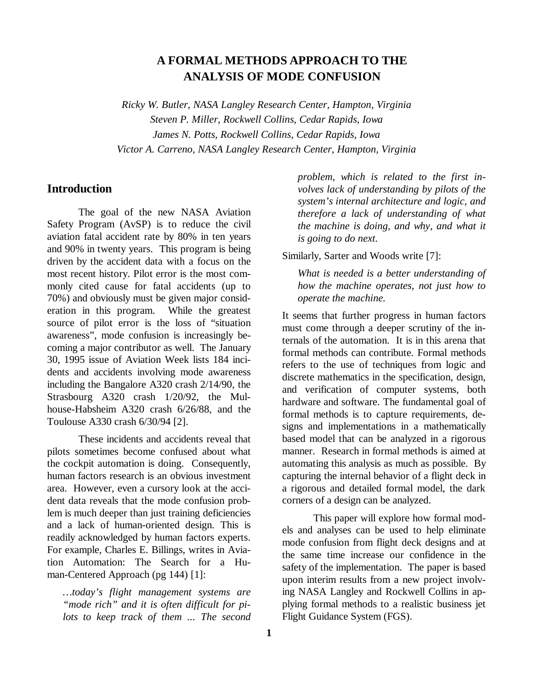# **A FORMAL METHODS APPROACH TO THE ANALYSIS OF MODE CONFUSION**

*Ricky W. Butler, NASA Langley Research Center, Hampton, Virginia Steven P. Miller, Rockwell Collins, Cedar Rapids, Iowa James N. Potts, Rockwell Collins, Cedar Rapids, Iowa Victor A. Carreno, NASA Langley Research Center, Hampton, Virginia*

## **Introduction**

The goal of the new NASA Aviation Safety Program (AvSP) is to reduce the civil aviation fatal accident rate by 80% in ten years and 90% in twenty years. This program is being driven by the accident data with a focus on the most recent history. Pilot error is the most commonly cited cause for fatal accidents (up to 70%) and obviously must be given major consideration in this program. While the greatest source of pilot error is the loss of "situation awareness", mode confusion is increasingly becoming a major contributor as well. The January 30, 1995 issue of Aviation Week lists 184 incidents and accidents involving mode awareness including the Bangalore A320 crash 2/14/90, the Strasbourg A320 crash 1/20/92, the Mulhouse-Habsheim A320 crash 6/26/88, and the Toulouse A330 crash 6/30/94 [2].

These incidents and accidents reveal that pilots sometimes become confused about what the cockpit automation is doing. Consequently, human factors research is an obvious investment area. However, even a cursory look at the accident data reveals that the mode confusion problem is much deeper than just training deficiencies and a lack of human-oriented design. This is readily acknowledged by human factors experts. For example, Charles E. Billings, writes in Aviation Automation: The Search for a Human-Centered Approach (pg 144) [1]:

*…today's flight management systems are "mode rich" and it is often difficult for pilots to keep track of them ... The second* *problem, which is related to the first involves lack of understanding by pilots of the system's internal architecture and logic, and therefore a lack of understanding of what the machine is doing, and why, and what it is going to do next.*

Similarly, Sarter and Woods write [7]:

*What is needed is a better understanding of how the machine operates, not just how to operate the machine.*

It seems that further progress in human factors must come through a deeper scrutiny of the internals of the automation. It is in this arena that formal methods can contribute. Formal methods refers to the use of techniques from logic and discrete mathematics in the specification, design, and verification of computer systems, both hardware and software. The fundamental goal of formal methods is to capture requirements, designs and implementations in a mathematically based model that can be analyzed in a rigorous manner. Research in formal methods is aimed at automating this analysis as much as possible. By capturing the internal behavior of a flight deck in a rigorous and detailed formal model, the dark corners of a design can be analyzed.

This paper will explore how formal models and analyses can be used to help eliminate mode confusion from flight deck designs and at the same time increase our confidence in the safety of the implementation. The paper is based upon interim results from a new project involving NASA Langley and Rockwell Collins in applying formal methods to a realistic business jet Flight Guidance System (FGS).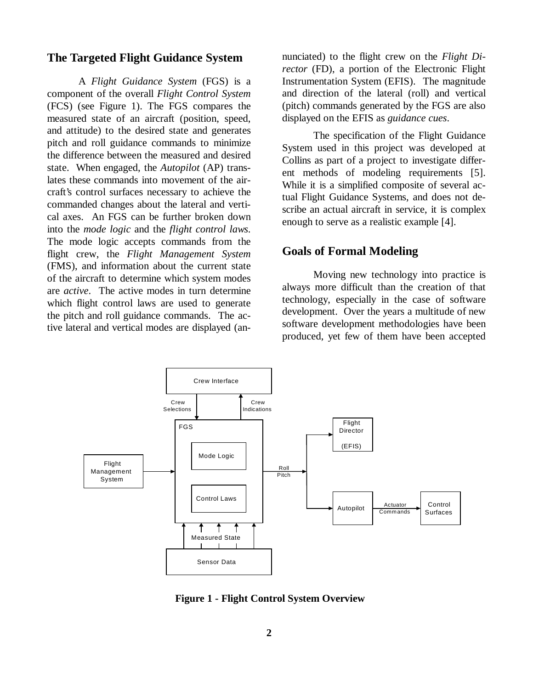#### **The Targeted Flight Guidance System**

A *Flight Guidance System* (FGS) is a component of the overall *Flight Control System* (FCS) (see Figure 1). The FGS compares the measured state of an aircraft (position, speed, and attitude) to the desired state and generates pitch and roll guidance commands to minimize the difference between the measured and desired state. When engaged, the *Autopilot* (AP) translates these commands into movement of the aircraft's control surfaces necessary to achieve the commanded changes about the lateral and vertical axes. An FGS can be further broken down into the *mode logic* and the *flight control laws*. The mode logic accepts commands from the flight crew, the *Flight Management System* (FMS), and information about the current state of the aircraft to determine which system modes are *active*. The active modes in turn determine which flight control laws are used to generate the pitch and roll guidance commands. The active lateral and vertical modes are displayed (annunciated) to the flight crew on the *Flight Director* (FD), a portion of the Electronic Flight Instrumentation System (EFIS). The magnitude and direction of the lateral (roll) and vertical (pitch) commands generated by the FGS are also displayed on the EFIS as *guidance cues*.

The specification of the Flight Guidance System used in this project was developed at Collins as part of a project to investigate different methods of modeling requirements [5]. While it is a simplified composite of several actual Flight Guidance Systems, and does not describe an actual aircraft in service, it is complex enough to serve as a realistic example [4].

#### **Goals of Formal Modeling**

Moving new technology into practice is always more difficult than the creation of that technology, especially in the case of software development. Over the years a multitude of new software development methodologies have been produced, yet few of them have been accepted



**Figure 1 - Flight Control System Overview**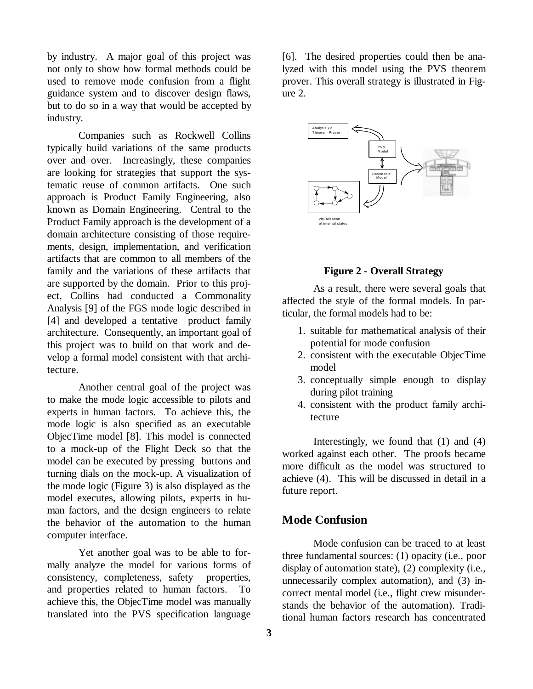by industry. A major goal of this project was not only to show how formal methods could be used to remove mode confusion from a flight guidance system and to discover design flaws, but to do so in a way that would be accepted by industry.

Companies such as Rockwell Collins typically build variations of the same products over and over. Increasingly, these companies are looking for strategies that support the systematic reuse of common artifacts. One such approach is Product Family Engineering, also known as Domain Engineering. Central to the Product Family approach is the development of a domain architecture consisting of those requirements, design, implementation, and verification artifacts that are common to all members of the family and the variations of these artifacts that are supported by the domain. Prior to this project, Collins had conducted a Commonality Analysis [9] of the FGS mode logic described in [4] and developed a tentative product family architecture. Consequently, an important goal of this project was to build on that work and develop a formal model consistent with that architecture.

Another central goal of the project was to make the mode logic accessible to pilots and experts in human factors. To achieve this, the mode logic is also specified as an executable ObjecTime model [8]. This model is connected to a mock-up of the Flight Deck so that the model can be executed by pressing buttons and turning dials on the mock-up. A visualization of the mode logic (Figure 3) is also displayed as the model executes, allowing pilots, experts in human factors, and the design engineers to relate the behavior of the automation to the human computer interface.

Yet another goal was to be able to formally analyze the model for various forms of consistency, completeness, safety properties, and properties related to human factors. To achieve this, the ObjecTime model was manually translated into the PVS specification language

[6]. The desired properties could then be analyzed with this model using the PVS theorem prover. This overall strategy is illustrated in Figure 2.



#### **Figure 2 - Overall Strategy**

As a result, there were several goals that affected the style of the formal models. In particular, the formal models had to be:

- 1. suitable for mathematical analysis of their potential for mode confusion
- 2. consistent with the executable ObjecTime model
- 3. conceptually simple enough to display during pilot training
- 4. consistent with the product family architecture

Interestingly, we found that (1) and (4) worked against each other. The proofs became more difficult as the model was structured to achieve (4). This will be discussed in detail in a future report.

### **Mode Confusion**

Mode confusion can be traced to at least three fundamental sources: (1) opacity (i.e., poor display of automation state), (2) complexity (i.e., unnecessarily complex automation), and (3) incorrect mental model (i.e., flight crew misunderstands the behavior of the automation). Traditional human factors research has concentrated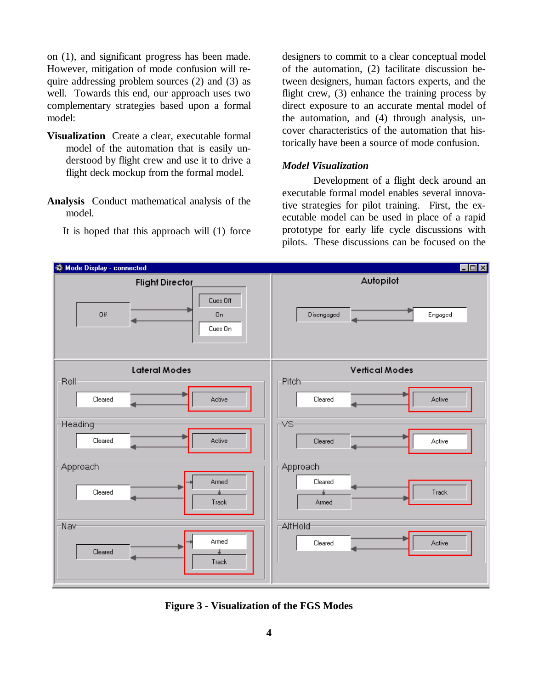on (1), and significant progress has been made. However, mitigation of mode confusion will require addressing problem sources (2) and (3) as well. Towards this end, our approach uses two complementary strategies based upon a formal model:

- **Visualization** Create a clear, executable formal model of the automation that is easily understood by flight crew and use it to drive a flight deck mockup from the formal model.
- **Analysis** Conduct mathematical analysis of the model.

It is hoped that this approach will (1) force

designers to commit to a clear conceptual model of the automation, (2) facilitate discussion between designers, human factors experts, and the flight crew, (3) enhance the training process by direct exposure to an accurate mental model of the automation, and (4) through analysis, uncover characteristics of the automation that historically have been a source of mode confusion.

#### *Model Visualization*

Development of a flight deck around an executable formal model enables several innovative strategies for pilot training. First, the executable model can be used in place of a rapid prototype for early life cycle discussions with pilots. These discussions can be focused on the



**Figure 3 - Visualization of the FGS Modes**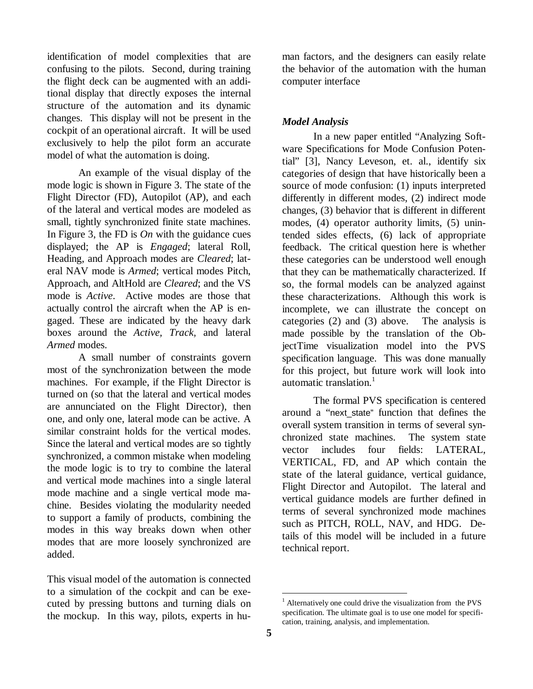identification of model complexities that are confusing to the pilots. Second, during training the flight deck can be augmented with an additional display that directly exposes the internal structure of the automation and its dynamic changes. This display will not be present in the cockpit of an operational aircraft. It will be used exclusively to help the pilot form an accurate model of what the automation is doing.

An example of the visual display of the mode logic is shown in Figure 3. The state of the Flight Director (FD), Autopilot (AP), and each of the lateral and vertical modes are modeled as small, tightly synchronized finite state machines. In Figure 3, the FD is *On* with the guidance cues displayed; the AP is *Engaged*; lateral Roll, Heading, and Approach modes are *Cleared*; lateral NAV mode is *Armed*; vertical modes Pitch, Approach, and AltHold are *Cleared*; and the VS mode is *Active*. Active modes are those that actually control the aircraft when the AP is engaged. These are indicated by the heavy dark boxes around the *Active, Track,* and lateral *Armed* modes.

A small number of constraints govern most of the synchronization between the mode machines. For example, if the Flight Director is turned on (so that the lateral and vertical modes are annunciated on the Flight Director), then one, and only one, lateral mode can be active. A similar constraint holds for the vertical modes. Since the lateral and vertical modes are so tightly synchronized, a common mistake when modeling the mode logic is to try to combine the lateral and vertical mode machines into a single lateral mode machine and a single vertical mode machine. Besides violating the modularity needed to support a family of products, combining the modes in this way breaks down when other modes that are more loosely synchronized are added.

This visual model of the automation is connected to a simulation of the cockpit and can be executed by pressing buttons and turning dials on the mockup. In this way, pilots, experts in human factors, and the designers can easily relate the behavior of the automation with the human computer interface

#### *Model Analysis*

In a new paper entitled "Analyzing Software Specifications for Mode Confusion Potential" [3], Nancy Leveson, et. al., identify six categories of design that have historically been a source of mode confusion: (1) inputs interpreted differently in different modes, (2) indirect mode changes, (3) behavior that is different in different modes, (4) operator authority limits, (5) unintended sides effects, (6) lack of appropriate feedback. The critical question here is whether these categories can be understood well enough that they can be mathematically characterized. If so, the formal models can be analyzed against these characterizations. Although this work is incomplete, we can illustrate the concept on categories (2) and (3) above. The analysis is made possible by the translation of the ObjectTime visualization model into the PVS specification language. This was done manually for this project, but future work will look into automatic translation. $1$ 

The formal PVS specification is centered around a "next\_state" function that defines the overall system transition in terms of several synchronized state machines. The system state vector includes four fields: LATERAL, VERTICAL, FD, and AP which contain the state of the lateral guidance, vertical guidance, Flight Director and Autopilot. The lateral and vertical guidance models are further defined in terms of several synchronized mode machines such as PITCH, ROLL, NAV, and HDG. Details of this model will be included in a future technical report.

<sup>&</sup>lt;sup>1</sup> Alternatively one could drive the visualization from the PVS specification. The ultimate goal is to use one model for specification, training, analysis, and implementation.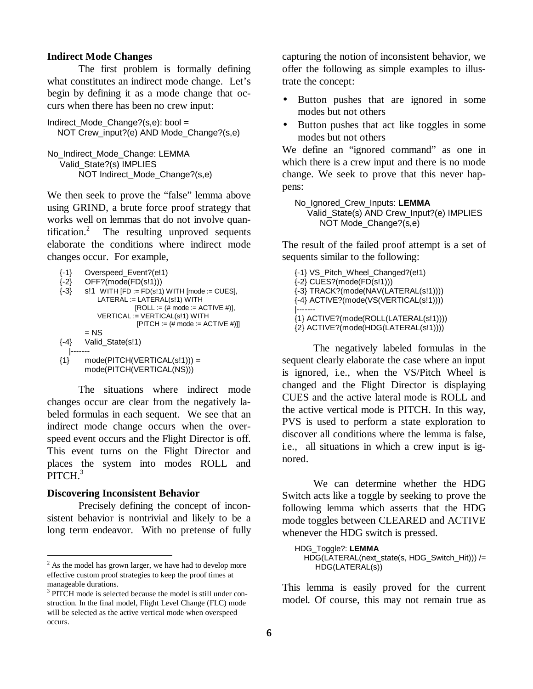#### **Indirect Mode Changes**

The first problem is formally defining what constitutes an indirect mode change. Let's begin by defining it as a mode change that occurs when there has been no crew input:

```
Indirect Mode Change?(s,e): bool =
  NOT Crew_input?(e) AND Mode Change?(s,e)
```
No\_Indirect\_Mode\_Change: LEMMA Valid\_State?(s) IMPLIES NOT Indirect Mode Change?(s,e)

We then seek to prove the "false" lemma above using GRIND, a brute force proof strategy that works well on lemmas that do not involve quantification.<sup>2</sup> The resulting unproved sequents elaborate the conditions where indirect mode changes occur. For example,

```
{-1} Overspeed_Event?(e!1)
\{-2\} OFF?(mode(FD(s!1)))
\{-3\} s!1 WITH [FD := FD(s!1) WITH [mode := CUES],LATERAL := LATERAL(s!1) WITH
                    [ROLL := # mode := ACTIVE #)],VERTICAL := VERTICAL(s!1) WITH
                    [PITCH := (\# mode := ACTIVE #)]= NS<br>{-4} Valid
      Valid_State(s!1)
 |-------
{1} mode(PITCH(VERTICAL(s!1))) =
      mode(PITCH(VERTICAL(NS)))
```
The situations where indirect mode changes occur are clear from the negatively labeled formulas in each sequent. We see that an indirect mode change occurs when the overspeed event occurs and the Flight Director is off. This event turns on the Flight Director and places the system into modes ROLL and  $PITCH<sup>3</sup>$ 

#### **Discovering Inconsistent Behavior**

 $\overline{a}$ 

Precisely defining the concept of inconsistent behavior is nontrivial and likely to be a long term endeavor. With no pretense of fully capturing the notion of inconsistent behavior, we offer the following as simple examples to illustrate the concept:

- Button pushes that are ignored in some modes but not others
- Button pushes that act like toggles in some modes but not others

We define an "ignored command" as one in which there is a crew input and there is no mode change. We seek to prove that this never happens:

No\_Ignored\_Crew\_Inputs: **LEMMA** Valid\_State(s) AND Crew\_Input?(e) IMPLIES NOT Mode\_Change?(s,e)

The result of the failed proof attempt is a set of sequents similar to the following:

```
{-1} VS_Pitch_Wheel_Changed?(e!1)
{-2} CUES?(mode(FD(s!1)))
{-3} TRACK?(mode(NAV(LATERAL(s!1))))
{-4} ACTIVE?(mode(VS(VERTICAL(s!1))))
|-------
{1} ACTIVE?(mode(ROLL(LATERAL(s!1))))
{2} ACTIVE?(mode(HDG(LATERAL(s!1))))
```
The negatively labeled formulas in the sequent clearly elaborate the case where an input is ignored, i.e., when the VS/Pitch Wheel is changed and the Flight Director is displaying CUES and the active lateral mode is ROLL and the active vertical mode is PITCH. In this way, PVS is used to perform a state exploration to discover all conditions where the lemma is false, i.e., all situations in which a crew input is ignored.

We can determine whether the HDG Switch acts like a toggle by seeking to prove the following lemma which asserts that the HDG mode toggles between CLEARED and ACTIVE whenever the HDG switch is pressed.

```
HDG_Toggle?: LEMMA
   HDG(LATERAL(next_state(s, HDG_Switch_Hit))) /=
     HDG(LATERAL(s))
```
This lemma is easily proved for the current model. Of course, this may not remain true as

 $2^2$  As the model has grown larger, we have had to develop more effective custom proof strategies to keep the proof times at manageable durations.

<sup>&</sup>lt;sup>3</sup> PITCH mode is selected because the model is still under construction. In the final model, Flight Level Change (FLC) mode will be selected as the active vertical mode when overspeed occurs.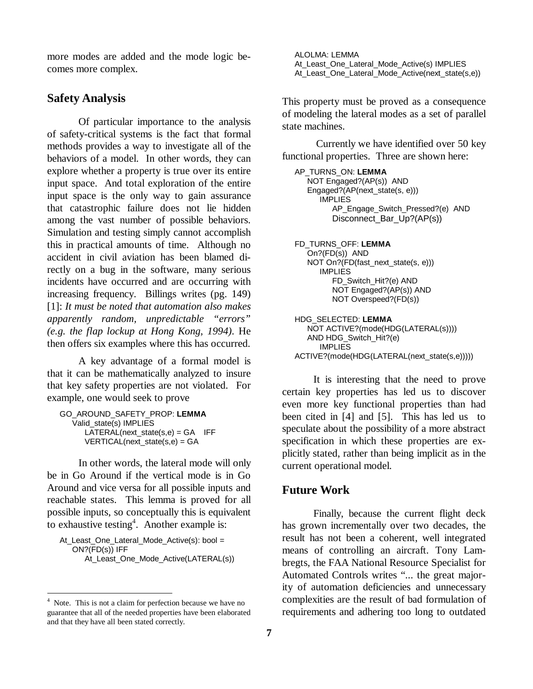more modes are added and the mode logic becomes more complex.

### **Safety Analysis**

Of particular importance to the analysis of safety-critical systems is the fact that formal methods provides a way to investigate all of the behaviors of a model. In other words, they can explore whether a property is true over its entire input space. And total exploration of the entire input space is the only way to gain assurance that catastrophic failure does not lie hidden among the vast number of possible behaviors. Simulation and testing simply cannot accomplish this in practical amounts of time. Although no accident in civil aviation has been blamed directly on a bug in the software, many serious incidents have occurred and are occurring with increasing frequency. Billings writes (pg. 149) [1]: *It must be noted that automation also makes apparently random, unpredictable "errors" (e.g. the flap lockup at Hong Kong, 1994)*. He then offers six examples where this has occurred.

A key advantage of a formal model is that it can be mathematically analyzed to insure that key safety properties are not violated. For example, one would seek to prove

```
GO_AROUND_SAFETY_PROP: LEMMA
   Valid_state(s) IMPLIES
     LATERAL(next-state(s,e) = GA IFF
      VERTICAL(new state(s, e) = GA
```
In other words, the lateral mode will only be in Go Around if the vertical mode is in Go Around and vice versa for all possible inputs and reachable states. This lemma is proved for all possible inputs, so conceptually this is equivalent to exhaustive testing<sup>4</sup>. Another example is:

At Least One Lateral Mode Active(s): bool = ON?(FD(s)) IFF At\_Least\_One\_Mode\_Active(LATERAL(s))

ALOLMA: LEMMA At\_Least\_One\_Lateral\_Mode\_Active(s) IMPLIES At\_Least\_One\_Lateral\_Mode\_Active(next\_state(s,e))

This property must be proved as a consequence of modeling the lateral modes as a set of parallel state machines.

 Currently we have identified over 50 key functional properties. Three are shown here:

AP\_TURNS\_ON: **LEMMA** NOT Engaged?(AP(s)) AND Engaged?(AP(next\_state(s, e))) IMPLIES AP\_Engage\_Switch\_Pressed?(e) AND Disconnect\_Bar\_Up?(AP(s))

FD\_TURNS\_OFF: **LEMMA** On?(FD(s)) AND NOT On?(FD(fast\_next\_state(s, e))) IMPLIES FD\_Switch\_Hit?(e) AND NOT Engaged?(AP(s)) AND NOT Overspeed?(FD(s)) HDG\_SELECTED: **LEMMA**

```
NOT ACTIVE?(mode(HDG(LATERAL(s))))
  AND HDG_Switch_Hit?(e)
     IMPLIES
ACTIVE?(mode(HDG(LATERAL(next_state(s,e)))))
```
It is interesting that the need to prove certain key properties has led us to discover even more key functional properties than had been cited in [4] and [5]. This has led us to speculate about the possibility of a more abstract specification in which these properties are explicitly stated, rather than being implicit as in the current operational model.

### **Future Work**

Finally, because the current flight deck has grown incrementally over two decades, the result has not been a coherent, well integrated means of controlling an aircraft. Tony Lambregts, the FAA National Resource Specialist for Automated Controls writes "... the great majority of automation deficiencies and unnecessary complexities are the result of bad formulation of requirements and adhering too long to outdated

<sup>&</sup>lt;sup>4</sup> Note. This is not a claim for perfection because we have no guarantee that all of the needed properties have been elaborated and that they have all been stated correctly.